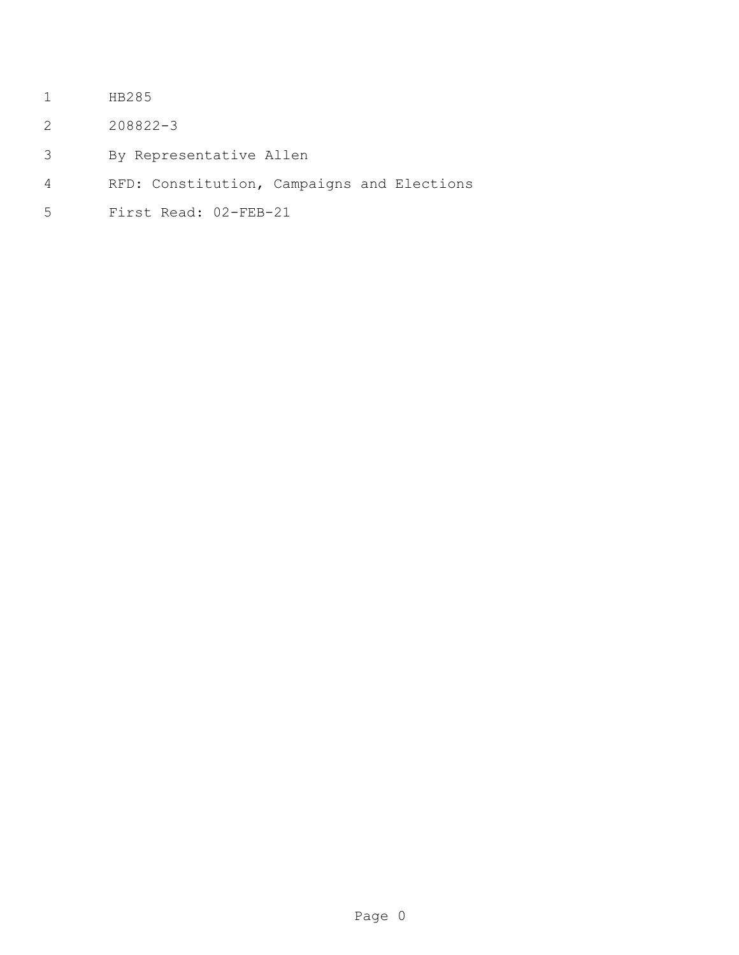- HB285
- 208822-3
- By Representative Allen
- RFD: Constitution, Campaigns and Elections
- First Read: 02-FEB-21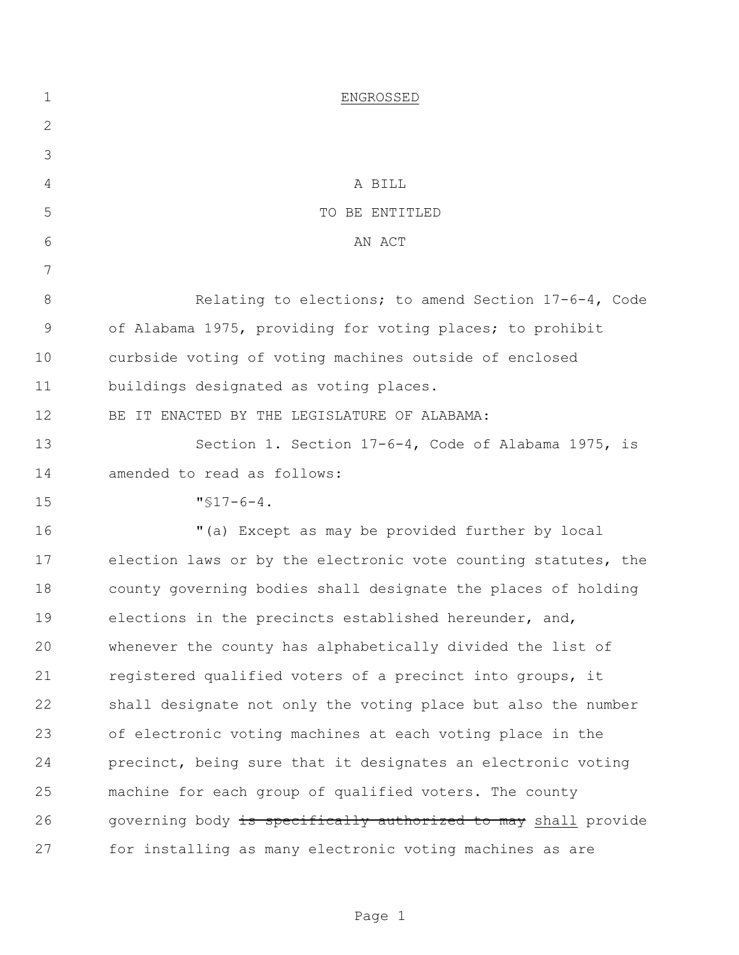| $\mathbf 1$ | ENGROSSED                                                      |
|-------------|----------------------------------------------------------------|
| 2           |                                                                |
| 3           |                                                                |
| 4           | A BILL                                                         |
| 5           | TO BE ENTITLED                                                 |
| 6           | AN ACT                                                         |
| 7           |                                                                |
| 8           | Relating to elections; to amend Section 17-6-4, Code           |
| $\mathsf 9$ | of Alabama 1975, providing for voting places; to prohibit      |
| 10          | curbside voting of voting machines outside of enclosed         |
| 11          | buildings designated as voting places.                         |
| 12          | BE IT ENACTED BY THE LEGISLATURE OF ALABAMA:                   |
| 13          | Section 1. Section 17-6-4, Code of Alabama 1975, is            |
| 14          | amended to read as follows:                                    |
| 15          | $"$ \$17-6-4.                                                  |
| 16          | "(a) Except as may be provided further by local                |
| 17          | election laws or by the electronic vote counting statutes, the |
| 18          | county governing bodies shall designate the places of holding  |
| 19          | elections in the precincts established hereunder, and,         |
| 20          | whenever the county has alphabetically divided the list of     |
| 21          | registered qualified voters of a precinct into groups, it      |
| 22          | shall designate not only the voting place but also the number  |
| 23          | of electronic voting machines at each voting place in the      |
| 24          | precinct, being sure that it designates an electronic voting   |
| 25          | machine for each group of qualified voters. The county         |
| 26          | governing body is specifically authorized to may shall provide |
| 27          | for installing as many electronic voting machines as are       |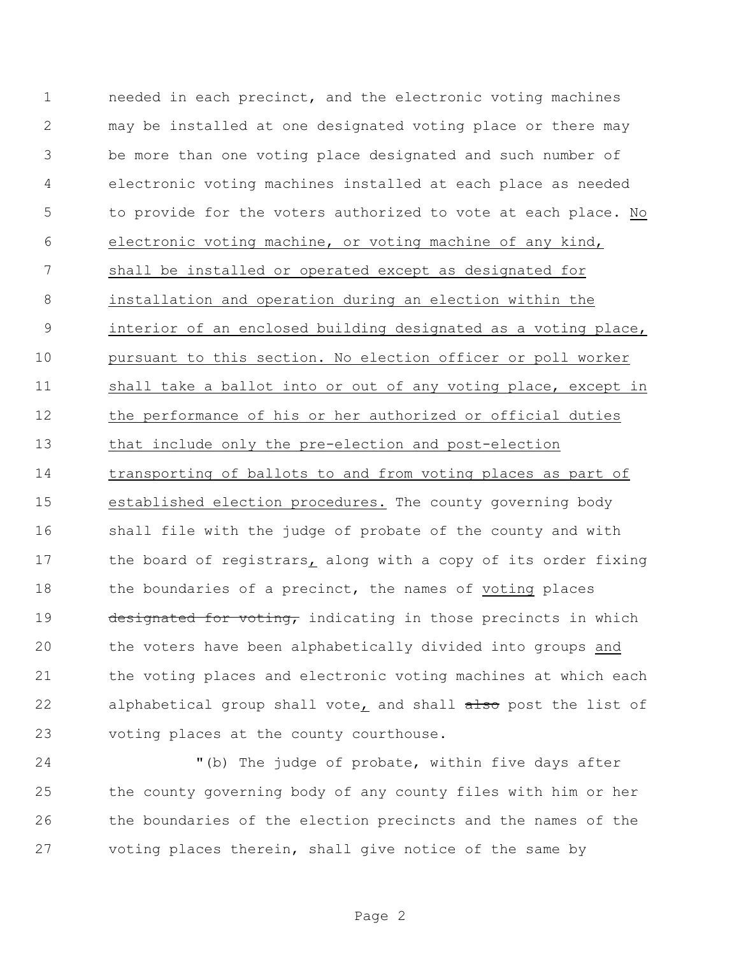needed in each precinct, and the electronic voting machines may be installed at one designated voting place or there may be more than one voting place designated and such number of electronic voting machines installed at each place as needed to provide for the voters authorized to vote at each place. No electronic voting machine, or voting machine of any kind, shall be installed or operated except as designated for installation and operation during an election within the interior of an enclosed building designated as a voting place, pursuant to this section. No election officer or poll worker shall take a ballot into or out of any voting place, except in the performance of his or her authorized or official duties that include only the pre-election and post-election transporting of ballots to and from voting places as part of established election procedures. The county governing body shall file with the judge of probate of the county and with 17 the board of registrars, along with a copy of its order fixing 18 the boundaries of a precinct, the names of voting places 19 designated for voting, indicating in those precincts in which the voters have been alphabetically divided into groups and the voting places and electronic voting machines at which each 22 alphabetical group shall vote, and shall also post the list of voting places at the county courthouse.

 "(b) The judge of probate, within five days after the county governing body of any county files with him or her the boundaries of the election precincts and the names of the voting places therein, shall give notice of the same by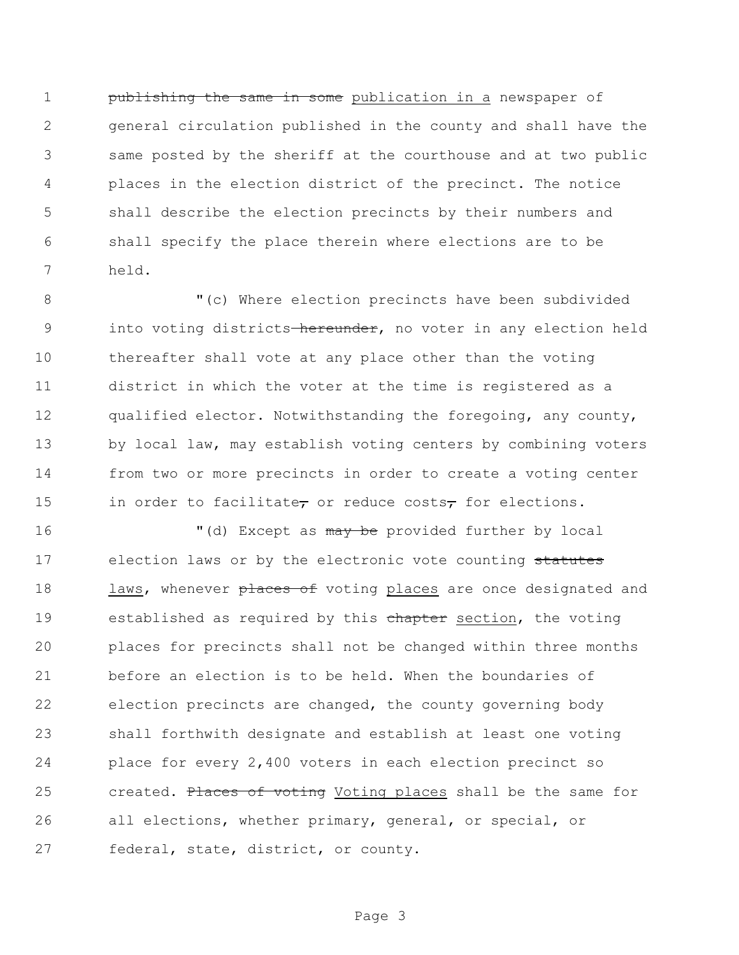**publishing the same in some** publication in a newspaper of general circulation published in the county and shall have the same posted by the sheriff at the courthouse and at two public places in the election district of the precinct. The notice shall describe the election precincts by their numbers and shall specify the place therein where elections are to be held.

 "(c) Where election precincts have been subdivided 9 into voting districts hereunder, no voter in any election held thereafter shall vote at any place other than the voting district in which the voter at the time is registered as a qualified elector. Notwithstanding the foregoing, any county, 13 by local law, may establish voting centers by combining voters from two or more precincts in order to create a voting center 15 in order to facilitate, or reduce costs, for elections.

16 "(d) Except as may be provided further by local 17 election laws or by the electronic vote counting statutes 18 laws, whenever places of voting places are once designated and 19 established as required by this chapter section, the voting places for precincts shall not be changed within three months before an election is to be held. When the boundaries of election precincts are changed, the county governing body shall forthwith designate and establish at least one voting place for every 2,400 voters in each election precinct so 25 created. Places of voting Voting places shall be the same for all elections, whether primary, general, or special, or federal, state, district, or county.

Page 3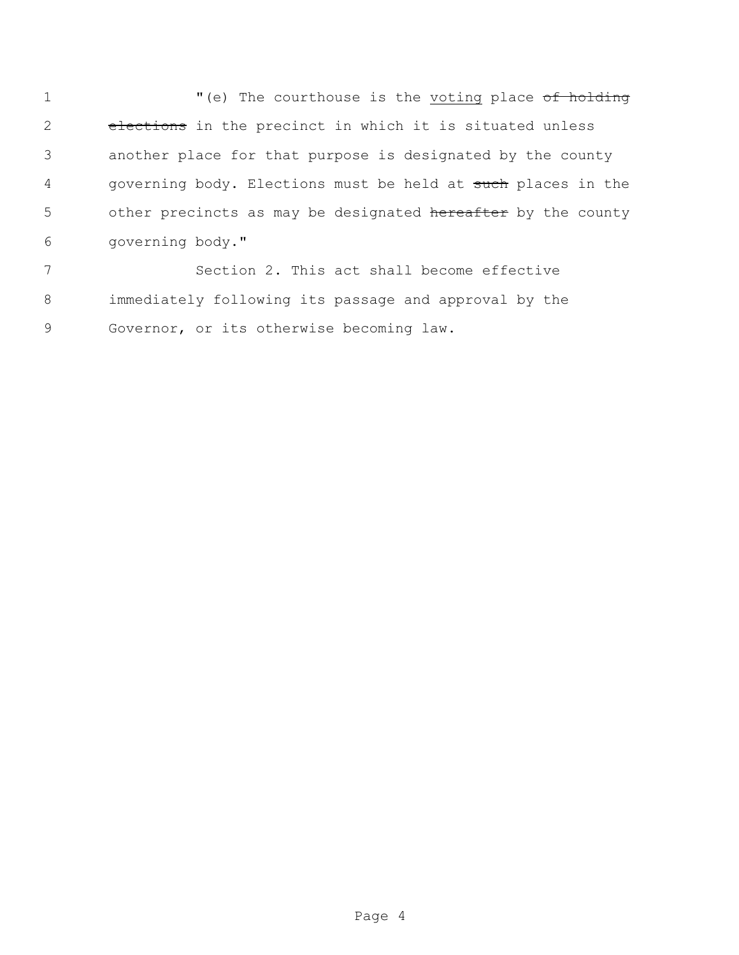1 "(e) The courthouse is the voting place of holding 2 elections in the precinct in which it is situated unless 3 another place for that purpose is designated by the county 4 governing body. Elections must be held at such places in the 5 other precincts as may be designated hereafter by the county 6 governing body."

7 Section 2. This act shall become effective 8 immediately following its passage and approval by the 9 Governor, or its otherwise becoming law.